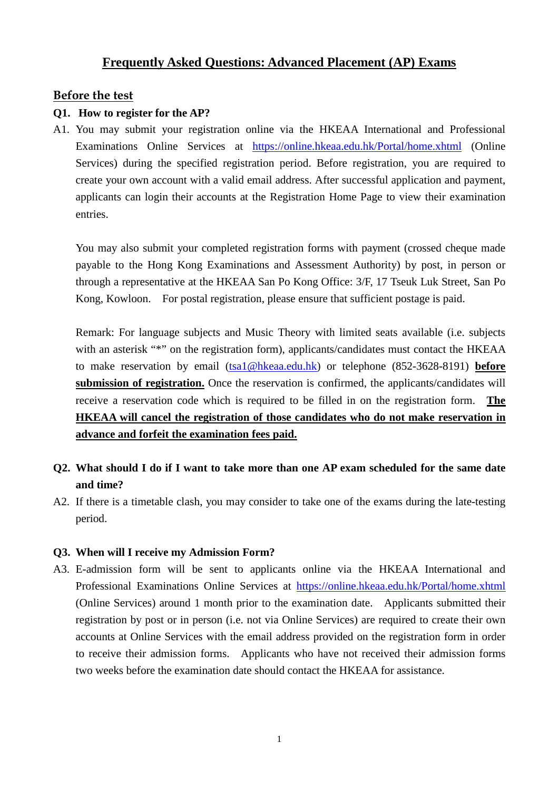# **Frequently Asked Questions: Advanced Placement (AP) Exams**

# **Before the test**

## **Q1. How to register for the AP?**

A1. You may submit your registration online via the HKEAA International and Professional Examinations Online Services at <https://online.hkeaa.edu.hk/Portal/home.xhtml> (Online Services) during the specified registration period. Before registration, you are required to create your own account with a valid email address. After successful application and payment, applicants can login their accounts at the Registration Home Page to view their examination entries.

 You may also submit your completed registration forms with payment (crossed cheque made payable to the Hong Kong Examinations and Assessment Authority) by post, in person or through a representative at the HKEAA San Po Kong Office: 3/F, 17 Tseuk Luk Street, San Po Kong, Kowloon. For postal registration, please ensure that sufficient postage is paid.

Remark: For language subjects and Music Theory with limited seats available (i.e. subjects with an asterisk "\*" on the registration form), applicants/candidates must contact the HKEAA to make reservation by email [\(tsa1@hkeaa.edu.hk\)](mailto:tsa1@hkeaa.edu.hk) or telephone (852-3628-8191) **before**  submission of registration. Once the reservation is confirmed, the applicants/candidates will receive a reservation code which is required to be filled in on the registration form. **The HKEAA will cancel the registration of those candidates who do not make reservation in advance and forfeit the examination fees paid.**

- **Q2. What should I do if I want to take more than one AP exam scheduled for the same date and time?**
- A2. If there is a timetable clash, you may consider to take one of the exams during the late-testing period.

## **Q3. When will I receive my Admission Form?**

A3. E-admission form will be sent to applicants online via the HKEAA International and Professional Examinations Online Services at <https://online.hkeaa.edu.hk/Portal/home.xhtml> (Online Services) around 1 month prior to the examination date. Applicants submitted their registration by post or in person (i.e. not via Online Services) are required to create their own accounts at Online Services with the email address provided on the registration form in order to receive their admission forms. Applicants who have not received their admission forms two weeks before the examination date should contact the HKEAA for assistance.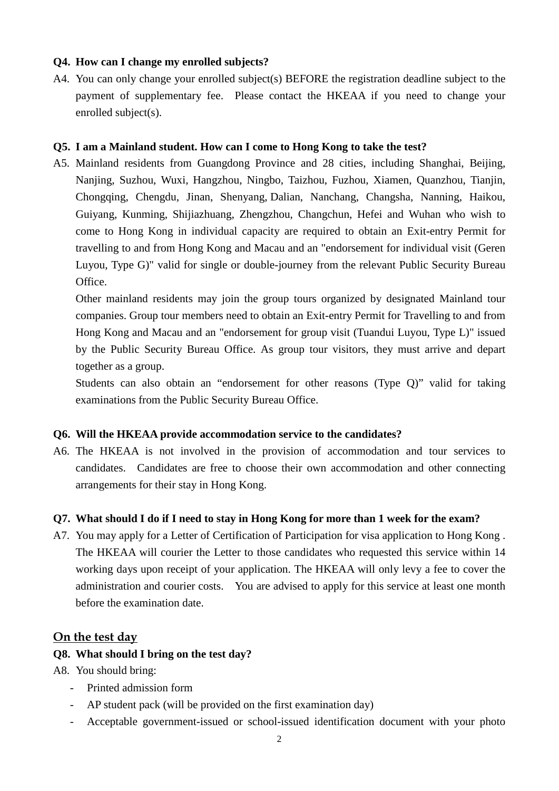## **Q4. How can I change my enrolled subjects?**

A4. You can only change your enrolled subject(s) BEFORE the registration deadline subject to the payment of supplementary fee. Please contact the HKEAA if you need to change your enrolled subject(s).

## **Q5. I am a Mainland student. How can I come to Hong Kong to take the test?**

A5. Mainland residents from Guangdong Province and 28 cities, including Shanghai, Beijing, Nanjing, Suzhou, Wuxi, Hangzhou, Ningbo, Taizhou, Fuzhou, Xiamen, Quanzhou, Tianjin, Chongqing, Chengdu, Jinan, Shenyang, Dalian, Nanchang, Changsha, Nanning, Haikou, Guiyang, Kunming, Shijiazhuang, Zhengzhou, Changchun, Hefei and Wuhan who wish to come to Hong Kong in individual capacity are required to obtain an Exit-entry Permit for travelling to and from Hong Kong and Macau and an "endorsement for individual visit (Geren Luyou, Type G)" valid for single or double-journey from the relevant Public Security Bureau Office.

Other mainland residents may join the group tours organized by designated Mainland tour companies. Group tour members need to obtain an Exit-entry Permit for Travelling to and from Hong Kong and Macau and an "endorsement for group visit (Tuandui Luyou, Type L)" issued by the Public Security Bureau Office. As group tour visitors, they must arrive and depart together as a group.

Students can also obtain an "endorsement for other reasons (Type Q)" valid for taking examinations from the Public Security Bureau Office.

## **Q6. Will the HKEAA provide accommodation service to the candidates?**

A6. The HKEAA is not involved in the provision of accommodation and tour services to candidates. Candidates are free to choose their own accommodation and other connecting arrangements for their stay in Hong Kong.

#### **Q7. What should I do if I need to stay in Hong Kong for more than 1 week for the exam?**

A7. You may apply for a Letter of Certification of Participation for visa application to Hong Kong . The HKEAA will courier the Letter to those candidates who requested this service within 14 working days upon receipt of your application. The HKEAA will only levy a fee to cover the administration and courier costs. You are advised to apply for this service at least one month before the examination date.

## **On the test day**

#### **Q8. What should I bring on the test day?**

A8. You should bring:

- Printed admission form
- AP student pack (will be provided on the first examination day)
- Acceptable government-issued or school-issued identification document with your photo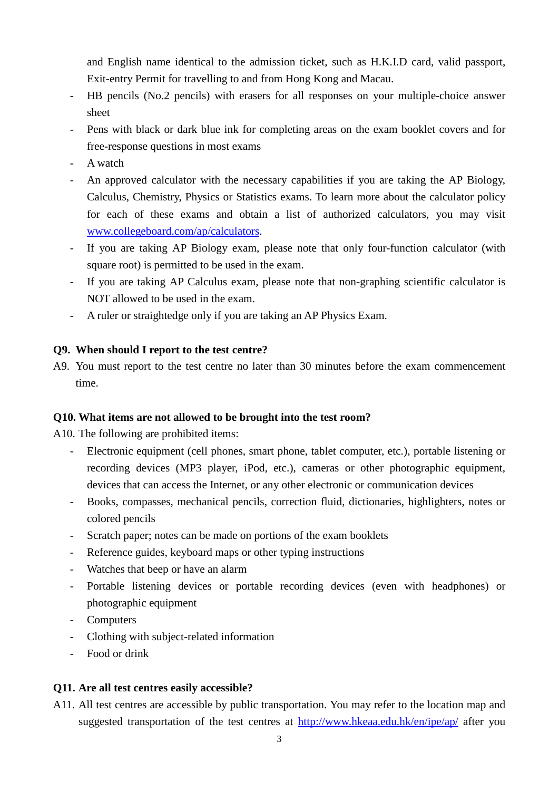and English name identical to the admission ticket, such as H.K.I.D card, valid passport, Exit-entry Permit for travelling to and from Hong Kong and Macau.

- HB pencils (No.2 pencils) with erasers for all responses on your multiple-choice answer sheet
- Pens with black or dark blue ink for completing areas on the exam booklet covers and for free-response questions in most exams
- A watch
- An approved calculator with the necessary capabilities if you are taking the AP Biology, Calculus, Chemistry, Physics or Statistics exams. To learn more about the calculator policy for each of these exams and obtain a list of authorized calculators, you may visit [www.collegeboard.com/ap/calculators.](http://www.collegeboard.com/ap/calculators)
- If you are taking AP Biology exam, please note that only four-function calculator (with square root) is permitted to be used in the exam.
- If you are taking AP Calculus exam, please note that non-graphing scientific calculator is NOT allowed to be used in the exam.
- A ruler or straightedge only if you are taking an AP Physics Exam.

## **Q9. When should I report to the test centre?**

A9. You must report to the test centre no later than 30 minutes before the exam commencement time.

## **Q10. What items are not allowed to be brought into the test room?**

A10. The following are prohibited items:

- Electronic equipment (cell phones, smart phone, tablet computer, etc.), portable listening or recording devices (MP3 player, iPod, etc.), cameras or other photographic equipment, devices that can access the Internet, or any other electronic or communication devices
- Books, compasses, mechanical pencils, correction fluid, dictionaries, highlighters, notes or colored pencils
- Scratch paper; notes can be made on portions of the exam booklets
- Reference guides, keyboard maps or other typing instructions
- Watches that beep or have an alarm
- Portable listening devices or portable recording devices (even with headphones) or photographic equipment
- Computers
- Clothing with subject-related information
- Food or drink

# **Q11. Are all test centres easily accessible?**

A11. All test centres are accessible by public transportation. You may refer to the location map and suggested transportation of the test centres at<http://www.hkeaa.edu.hk/en/ipe/ap/> after you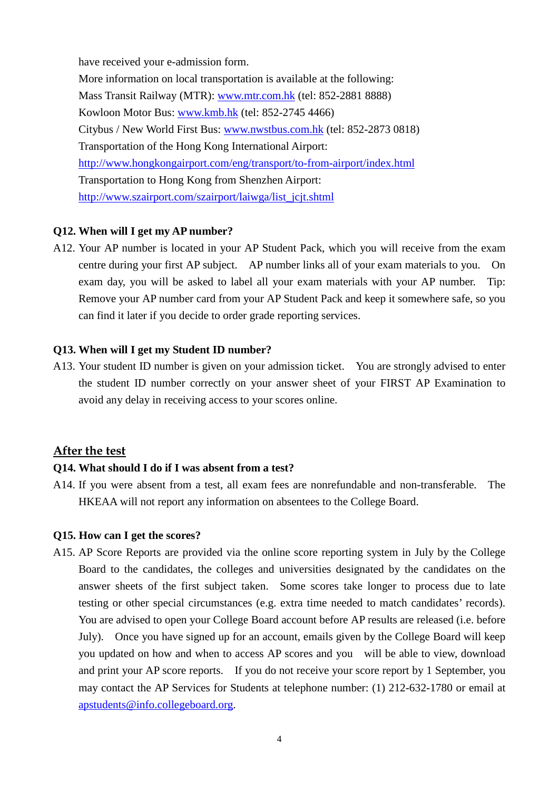have received your e-admission form. More information on local transportation is available at the following: Mass Transit Railway (MTR): [www.mtr.com.hk](http://www.mtr.com.hk/) (tel: 852-2881 8888) Kowloon Motor Bus: [www.kmb.hk](http://www.kmb.hk/) (tel: 852-2745 4466) Citybus / New World First Bus: [www.nwstbus.com.hk](http://www.nwstbus.com.hk/) (tel: 852-2873 0818) Transportation of the Hong Kong International Airport: <http://www.hongkongairport.com/eng/transport/to-from-airport/index.html> Transportation to Hong Kong from Shenzhen Airport: [http://www.szairport.com/szairport/laiwga/list\\_jcjt.shtml](http://www.szairport.com/szairport/laiwga/list_jcjt.shtml)

## **Q12. When will I get my AP number?**

A12. Your AP number is located in your AP Student Pack, which you will receive from the exam centre during your first AP subject. AP number links all of your exam materials to you. On exam day, you will be asked to label all your exam materials with your AP number. Tip: Remove your AP number card from your AP Student Pack and keep it somewhere safe, so you can find it later if you decide to order grade reporting services.

## **Q13. When will I get my Student ID number?**

A13. Your student ID number is given on your admission ticket. You are strongly advised to enter the student ID number correctly on your answer sheet of your FIRST AP Examination to avoid any delay in receiving access to your scores online.

## **After the test**

## **Q14. What should I do if I was absent from a test?**

A14. If you were absent from a test, all exam fees are nonrefundable and non-transferable. The HKEAA will not report any information on absentees to the College Board.

#### **Q15. How can I get the scores?**

A15. AP Score Reports are provided via the online score reporting system in July by the College Board to the candidates, the colleges and universities designated by the candidates on the answer sheets of the first subject taken. Some scores take longer to process due to late testing or other special circumstances (e.g. extra time needed to match candidates' records). You are advised to open your College Board account before AP results are released (i.e. before July). Once you have signed up for an account, emails given by the College Board will keep you updated on how and when to access AP scores and you will be able to view, download and print your AP score reports. If you do not receive your score report by 1 September, you may contact the AP Services for Students at telephone number: (1) 212-632-1780 or email at [apstudents@info.collegeboard.org.](mailto:apstudents@info.collegeboard.org)